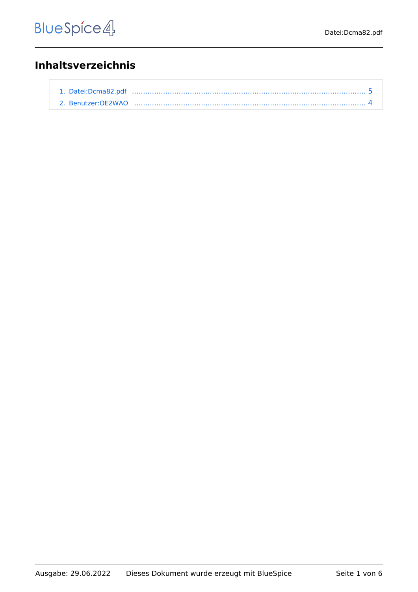## **Inhaltsverzeichnis**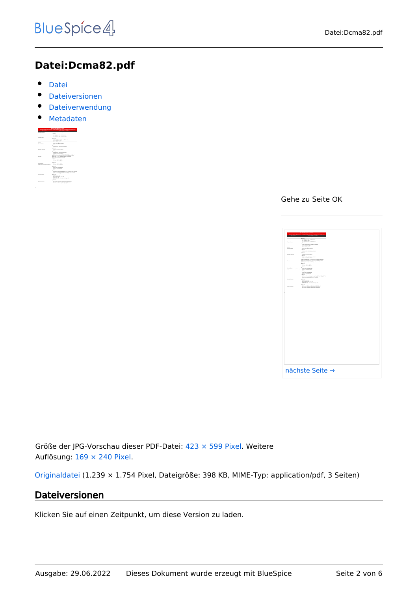## **Datei:Dcma82.pdf**

- $\bullet$ [Datei](#page-4-1)
- [Dateiversionen](#page-4-2)
- **•** [Dateiverwendung](#page-5-0)
- [Metadaten](#page-5-1)

|                                                                            | <b>MIGAGINATION AND LOCALITY</b><br>Industrial analy high source hid ringing highly and mix PC module. Rubit constitution                                        |
|----------------------------------------------------------------------------|------------------------------------------------------------------------------------------------------------------------------------------------------------------|
|                                                                            |                                                                                                                                                                  |
| <b><i>SEARCHARDS</i></b>                                                   | <b>STATISTICS</b>                                                                                                                                                |
|                                                                            | 1.125                                                                                                                                                            |
|                                                                            |                                                                                                                                                                  |
|                                                                            | 5.5 - 5. Paintings 1.5 - 5. Schwarzer Ville<br><b>DOWNER HEARING</b>                                                                                             |
| <b>Transport Delta</b>                                                     | <b>Connect</b>                                                                                                                                                   |
|                                                                            | <b>LES - LATING WAS IMAGED FOUNDAMENT</b><br>A 411 - A 447-658 St - Guide                                                                                        |
| <b>ENGINE</b>                                                              | <b>MARINE PRODUCT</b>                                                                                                                                            |
| <b><i>Distances</i></b>                                                    | LOAN AVE ANNE LOAN                                                                                                                                               |
|                                                                            | <b>8 80 TM</b>                                                                                                                                                   |
|                                                                            | <b>WINDOWS ARTS ARTS AND ASSESSED</b>                                                                                                                            |
|                                                                            | 1.011                                                                                                                                                            |
| <b><i>RAMAY MEAN</i></b>                                                   | FOR ATLANTA MATHE FROM                                                                                                                                           |
|                                                                            | $+11.7$                                                                                                                                                          |
|                                                                            | <b>WINDOWS STATE SERVICES</b>                                                                                                                                    |
|                                                                            | <b>FOR AS THE GUINE FROM</b>                                                                                                                                     |
|                                                                            | A 23 To formation the 41 to 16 To 16 Billion and Mary<br>THE FILTER PARK THE RETAIL BLUE THIS ASSISTED.                                                          |
| <b>Tutk Octa</b>                                                           | THE FRID TI RIN F TOOL AND STOLE AND THREE                                                                                                                       |
|                                                                            | The red business with receive                                                                                                                                    |
|                                                                            | $+$ and the                                                                                                                                                      |
|                                                                            | <b>Dutch of three British</b><br><b>DEALTH - THINKING</b>                                                                                                        |
|                                                                            | 2.011                                                                                                                                                            |
| <b><i><u>DISPONDER</u></i></b><br><b>INSURANCE PRODUCTS FOR FURNISHING</b> | <b>Dutch of Windows Theo</b>                                                                                                                                     |
|                                                                            | <b>Mar 18 - Shaped Street</b>                                                                                                                                    |
|                                                                            | 1.0111                                                                                                                                                           |
|                                                                            | <b><i>Parties' Ave. The hatter Middless</i></b><br>new in consuming                                                                                              |
|                                                                            | 1.011                                                                                                                                                            |
|                                                                            | VATASAN TEGA-AANNAS PASAN & TU-3 MAIN 578-2480000<br>Syllon 19-51-Authoris, Painters N. - 5 Miles N.P., Schmidter<br>cara), a non-namenin change in 18 - harmony |
| <b><i>The Art Christien</i></b>                                            | 4.88.788                                                                                                                                                         |
|                                                                            | <b>Williams 15.5 Jan</b>                                                                                                                                         |
|                                                                            | <b>Sher between marks 18.8 - 18.</b><br>make a few too                                                                                                           |
|                                                                            | deal talents in the ten was made to                                                                                                                              |
|                                                                            | 1.001                                                                                                                                                            |
| For Treatment                                                              | <b>RETAILER WILL BE LIBRARIES TRANSAT</b>                                                                                                                        |
|                                                                            | EXCLUSIVE DIE4-DK   EDISORNO SERVICING                                                                                                                           |

Gehe zu Seite OK

|                            | <u>the contract of the contract of the contract of the contract of the contract of the contract of the contract of the contract of the contract of the contract of the contract of the contract of the contract of the contract </u>                                                                               |  |
|----------------------------|--------------------------------------------------------------------------------------------------------------------------------------------------------------------------------------------------------------------------------------------------------------------------------------------------------------------|--|
|                            | $\overline{\phantom{a}}$                                                                                                                                                                                                                                                                                           |  |
|                            | $\begin{aligned} 1 &\cdot 11 &\cdot 14 &\cdot 1400000 &\cdot 14.570000 &\cdot 14.5800000 &\cdot 16.10000 \\ 2 &\cdot 24.55 &\cdot 14.000000 &\cdot 16.00000 &\cdot 14.50000 &\cdot 14.000000 &\cdot 14.000000 &\cdot 14.000000 &\cdot 14.000000 &\cdot 14.000000 &\cdot 14.000000 &\cdot 14.000000 &\cdot 14.0000$ |  |
|                            | <b>Allena</b>                                                                                                                                                                                                                                                                                                      |  |
|                            | A 495 - A substitute for the fluctuate of the party and pro-<br>A 475 - A substitute for any pair                                                                                                                                                                                                                  |  |
|                            | <b>BASIC PARTS</b><br><b><i>SAN FR GUESTART</i></b>                                                                                                                                                                                                                                                                |  |
|                            | $\bullet$ mm<br>------------------                                                                                                                                                                                                                                                                                 |  |
|                            | $\sim$                                                                                                                                                                                                                                                                                                             |  |
| or terms                   | <b>FRAME OF GROUP AND</b><br><b>County</b>                                                                                                                                                                                                                                                                         |  |
|                            | STORAGEMENT SPW, SURVEYA ESP                                                                                                                                                                                                                                                                                       |  |
|                            | We the characterization of the state $\mathcal{M}$ as a subsequent function of the local state function of the later of the later of the later of the later of the later of the later of the later of the later of the later of th                                                                                 |  |
|                            | <b>County</b>                                                                                                                                                                                                                                                                                                      |  |
|                            | home as those does                                                                                                                                                                                                                                                                                                 |  |
| <b>HATCHER COMPANY AND</b> | <b>COLOR</b><br>have a monthly                                                                                                                                                                                                                                                                                     |  |
|                            | $\sim$                                                                                                                                                                                                                                                                                                             |  |
|                            | home our strong days                                                                                                                                                                                                                                                                                               |  |
|                            | $+$<br>.<br>Indian de Terrasandegog, chamado de a follata e foi a futura<br>Indian del mandagag d'armado de a follata de a foi del latera                                                                                                                                                                          |  |
|                            | in an                                                                                                                                                                                                                                                                                                              |  |
|                            | which<br>said $\mathcal{M}(f\circ F)$ , $\mathcal{M}(f\circ F)$ , $\mathcal{M}(g) = \mathcal{M}(f\circ F) + \mathcal{M}(f) + \mathcal{M}(f) + \mathcal{M}(f) + \mathcal{M}(f)$ ,<br>where $\mathcal{M}(f)$ , $\mathcal{M}(g)$ , it as using its<br>contract of $f$ , $\mathcal{M}(f)$                              |  |
|                            | $\cdots$                                                                                                                                                                                                                                                                                                           |  |
| energie                    | <b>RI TA SAN IRAIN (M. 1991) ENVIRONAL TANINGAL</b><br>RI TA SAN IRAIN (M. 1991) ENVIRONAL ENVIRONAL<br>RI TA SAN IRAIN (M. 1991) ENVIRONAL ENVIRONAL                                                                                                                                                              |  |
|                            |                                                                                                                                                                                                                                                                                                                    |  |
|                            |                                                                                                                                                                                                                                                                                                                    |  |

Größe der JPG-Vorschau dieser PDF-Datei: [423 × 599 Pixel](https://wiki.oevsv.at/w/nsfr_img_auth.php/thumb/a/af/Dcma82.pdf/page1-423px-Dcma82.pdf.jpg). Weitere Auflösung: [169 × 240 Pixel.](https://wiki.oevsv.at/w/nsfr_img_auth.php/thumb/a/af/Dcma82.pdf/page1-169px-Dcma82.pdf.jpg)

[Originaldatei](#page-4-0) (1.239 × 1.754 Pixel, Dateigröße: 398 KB, MIME-Typ: application/pdf, 3 Seiten)

### Dateiversionen

Klicken Sie auf einen Zeitpunkt, um diese Version zu laden.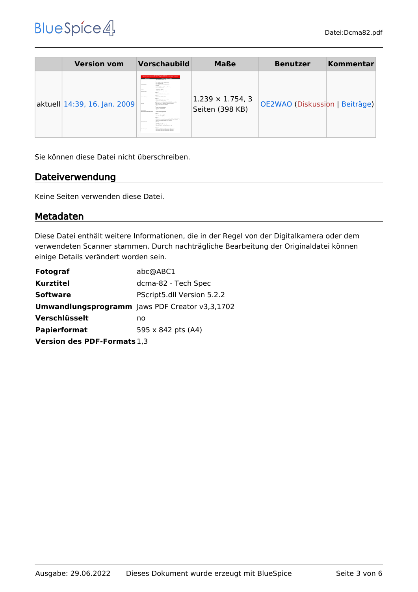# **BlueSpice4**

| <b>Version vom</b>           | <b>Vorschaubild</b>                                                                                                                                                                                                                                                                                                                                                                                                                                                                                                                                                                                                                                                                                                                                                                                                                                                                                                                                                                                                                                                                                                                                                                                                                                                                                                                                                                                                                                                                                                                                                                                                                                                                                                                         | <b>Maße</b>                                | <b>Benutzer</b>                | Kommentar |
|------------------------------|---------------------------------------------------------------------------------------------------------------------------------------------------------------------------------------------------------------------------------------------------------------------------------------------------------------------------------------------------------------------------------------------------------------------------------------------------------------------------------------------------------------------------------------------------------------------------------------------------------------------------------------------------------------------------------------------------------------------------------------------------------------------------------------------------------------------------------------------------------------------------------------------------------------------------------------------------------------------------------------------------------------------------------------------------------------------------------------------------------------------------------------------------------------------------------------------------------------------------------------------------------------------------------------------------------------------------------------------------------------------------------------------------------------------------------------------------------------------------------------------------------------------------------------------------------------------------------------------------------------------------------------------------------------------------------------------------------------------------------------------|--------------------------------------------|--------------------------------|-----------|
| aktuell 14:39, 16. Jan. 2009 | Mini-PO WPI Mini-Art (2006) AT<br>constant a policy assistance will noted for survivals. Someone<br>--------<br><b>TAXABLE PARTIES</b><br><b>AND ADDRESS FOR ASSESSMENT</b><br>the company of the company<br>Ard - Antique & h.P. - A restorate to the<br><b>CANADA BEAL</b><br><b>A STATISTIC</b><br><b>LES ARRAIGNONT CAR STAR AND</b><br>EXT - A BRAIN TO AND<br><b>WAS NAT'L THE TALE</b><br><b>State</b><br><b>SAME PART AREA TO STATE</b><br><b>CONTRACTOR</b><br>A company<br><b>STANDARD STANDARD AVE AVAILABLE</b><br>* control<br><b>HARASHA BEN MOVIE</b><br><b>WARN WITH</b><br><b>Registration</b><br><b>STATISTICS</b> WAS CITED FOR A CARD IN<br><b>Hills and John Starter, Hillston</b><br>A construction of a state of the con-<br>entropicate today installo di di si a chessa anni altra<br><b>DOM:</b><br>particular to an a france automate of a hybrid<br>the real basic mode at its between<br><b><i>Deliver due through Brital</i></b><br><b>STATE OF CHICAGO PRODUCT</b><br><b>A control</b><br><b>Distances</b><br><b><i>Deliver was interested from</i></b><br><b>ARAFA TAANGUNTAS ATATA</b><br><b>STATE OF CHANNEL</b><br>A company<br><b><i>Deliver was interested</i> from</b><br><b>STATE R. CONSUMPTION</b><br>$\sim$<br>WHERE REPORTED HER R. P. LEWIS CO., LANSING.<br>being financial program on the sense had a resum-<br>can't a re-exceptive Parties 4 to -4 month<br><b>Barbara</b><br><b>Country</b><br>Without Yours<br><b>But By Law County To Ty </b><br>state talk to 1, the Mr. teachers, in-<br><b>A LOCKER</b><br><b>By The State Printed Corp., Mid-Minister, Telegrapher</b><br><b>The Freehold</b><br>as to sup two-lock excellent seconds.<br>as 15 p.m. films out annually at an opini- | $1.239 \times 1.754, 3$<br>Seiten (398 KB) | OE2WAO (Diskussion   Beiträge) |           |

Sie können diese Datei nicht überschreiben.

### **Dateiverwendung**

Keine Seiten verwenden diese Datei.

#### Metadaten

Diese Datei enthält weitere Informationen, die in der Regel von der Digitalkamera oder dem verwendeten Scanner stammen. Durch nachträgliche Bearbeitung der Originaldatei können einige Details verändert worden sein.

| abc@ABC1                                              |  |  |  |
|-------------------------------------------------------|--|--|--|
| dcma-82 - Tech Spec                                   |  |  |  |
| PScript5.dll Version 5.2.2                            |  |  |  |
| <b>Umwandlungsprogramm</b> Jaws PDF Creator v3,3,1702 |  |  |  |
| no                                                    |  |  |  |
| 595 x 842 pts (A4)                                    |  |  |  |
| <b>Version des PDF-Formats</b> 1,3                    |  |  |  |
|                                                       |  |  |  |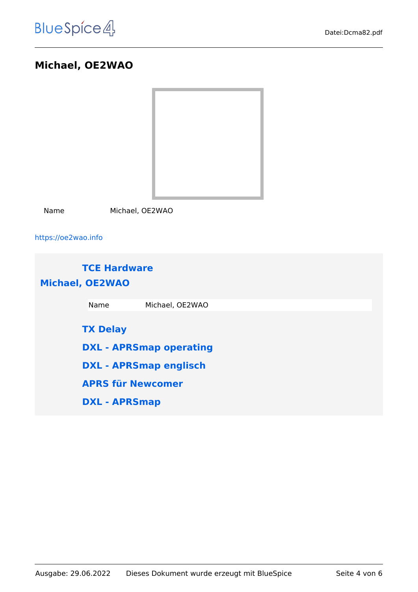## <span id="page-3-0"></span>**Michael, OE2WAO**



Name Michael, OE2WAO

<https://oe2wao.info>

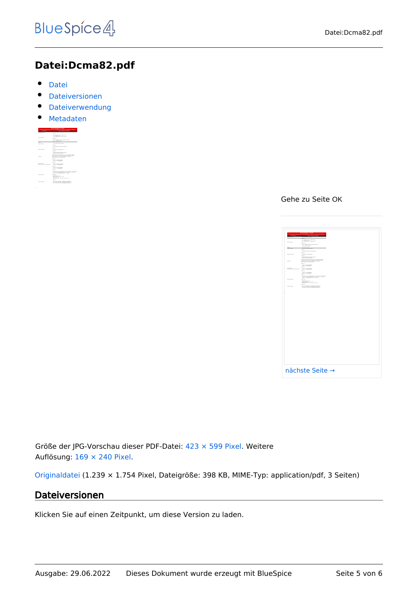## <span id="page-4-0"></span>**Datei:Dcma82.pdf**

- $\bullet$ [Datei](#page-4-1)
- [Dateiversionen](#page-4-2)
- **•** [Dateiverwendung](#page-5-0)
- [Metadaten](#page-5-1)

<span id="page-4-1"></span>

|                                                            | <b>MIGAGINATION AND LOCALITY</b><br>Industrial analy high source hid ringing highly and mix PC module. Rubit constitution                                                              |
|------------------------------------------------------------|----------------------------------------------------------------------------------------------------------------------------------------------------------------------------------------|
|                                                            |                                                                                                                                                                                        |
| -------                                                    | --------                                                                                                                                                                               |
|                                                            | 1.125                                                                                                                                                                                  |
| <b>Experts Britts</b>                                      | 5.5 - 5. Paintings 1.5 - 5. Schwarzer Ville<br><b>DOWNER HEARING</b>                                                                                                                   |
|                                                            | <b>Connect</b>                                                                                                                                                                         |
|                                                            | A 49 - A 49 West With Thingh WTA will need<br>A 471 - A 497-978-761 month                                                                                                              |
| <b>ENGINE</b>                                              | <b>MARINE PRODUCT</b>                                                                                                                                                                  |
| <b>That due of share</b>                                   | LOAN AVE ANNE LOAN                                                                                                                                                                     |
|                                                            | 1.012                                                                                                                                                                                  |
|                                                            | <b>WINDOWS ARTS ARTS AND ASSESSED</b>                                                                                                                                                  |
|                                                            | 1.011                                                                                                                                                                                  |
| <b><i>RAMAY MEAN</i></b>                                   | <b>FOR ARTIST BUTCH FOTO</b>                                                                                                                                                           |
|                                                            | $+$ and the                                                                                                                                                                            |
|                                                            | <b>WINDOWS STATE SERVICES</b><br>FOR AS THE GATE FROM                                                                                                                                  |
| <b>DATE</b>                                                | A 23 To formation the 41 to 16 To 16 Billion and Mary<br>THE FILTER PARK THE RETAIL BLUE THIS ASSISTED.<br>are real to see I seek advanced also related<br>The red business with terms |
|                                                            | $+$ and the                                                                                                                                                                            |
|                                                            | <b>Dutch of three British</b><br><b>SAV 15 - TRINGROOM</b>                                                                                                                             |
|                                                            | 2.011                                                                                                                                                                                  |
| <b><i><u>DISPONDER</u></i></b><br>where the assumption and | <b>Public Ad BENNETWALK</b><br><b>SAVID - MANUFINAL</b>                                                                                                                                |
|                                                            | 1.0111                                                                                                                                                                                 |
|                                                            | <b>Dutch of three British</b><br>new in consuming                                                                                                                                      |
|                                                            | 1.011                                                                                                                                                                                  |
|                                                            | VATASAN TEGA-AANNAS PASAN & TU-3 MAIN 578-2480000<br>Syllon 19-51-Authoris, Painters N. - 5 Miles N.P., Schmidter<br>and announced damage in careers.                                  |
| <b><i>The Art Christien</i></b>                            | 4.0178                                                                                                                                                                                 |
|                                                            | <b>Williams 15.5 Jan</b><br><b>Sher between marks 18.8 - 18.</b><br>mine arts, we<br>deal talents in the ten was made to                                                               |
|                                                            | 1.001                                                                                                                                                                                  |
| For Treatment                                              | <b>PETATUR WAS IN LINEARAN TRANSMIT</b><br>or lance land in imposed smoke-                                                                                                             |

Gehe zu Seite OK

|                            | <u>the contract of the contract of the contract of the contract of the contract of the contract of the contract of the contract of the contract of the contract of the contract of the contract of the contract of the contract </u>                                                                               |  |
|----------------------------|--------------------------------------------------------------------------------------------------------------------------------------------------------------------------------------------------------------------------------------------------------------------------------------------------------------------|--|
|                            | $\overline{\phantom{a}}$                                                                                                                                                                                                                                                                                           |  |
|                            | $\begin{aligned} 1 &\cdot 11 &\cdot 14 &\cdot 1400000 &\cdot 14.570000 &\cdot 14.5800000 &\cdot 16.10000 \\ 2 &\cdot 24.55 &\cdot 14.000000 &\cdot 16.00000 &\cdot 14.50000 &\cdot 14.000000 &\cdot 14.000000 &\cdot 14.000000 &\cdot 14.000000 &\cdot 14.000000 &\cdot 14.000000 &\cdot 14.000000 &\cdot 14.0000$ |  |
|                            | <b>Allena</b>                                                                                                                                                                                                                                                                                                      |  |
|                            | A 495 - A substitute for the fluctuate of the party and pro-<br>A 475 - A substitute for any pair                                                                                                                                                                                                                  |  |
|                            | <b>BASIC PARTS</b><br><b><i>SAN FR GUESTART</i></b>                                                                                                                                                                                                                                                                |  |
|                            | $\bullet$ mm<br>------------------                                                                                                                                                                                                                                                                                 |  |
|                            | $\sim$                                                                                                                                                                                                                                                                                                             |  |
| <b>MARINE</b>              | <b>FRAME OF GROUP AND</b><br><b>County</b>                                                                                                                                                                                                                                                                         |  |
|                            | STORAGEMENT SPW, SURVEYA ESP                                                                                                                                                                                                                                                                                       |  |
|                            | We the characterization of the state $\mathcal{M}$ as a subsequent function of the local state function of the later of the later of the later of the later of the later of the later of the later of the later of the later of th                                                                                 |  |
|                            | <b>County</b>                                                                                                                                                                                                                                                                                                      |  |
|                            | home as those does                                                                                                                                                                                                                                                                                                 |  |
| <b>HATCHER COMPANY AND</b> | <b>COLOR</b><br>have a monthly                                                                                                                                                                                                                                                                                     |  |
|                            | $\sim$                                                                                                                                                                                                                                                                                                             |  |
|                            | home our strong days                                                                                                                                                                                                                                                                                               |  |
|                            | $+$<br>.<br>Indian de Terrasandegog, chamado de a follata e foi a futura<br>Indian del mandagag d'armado de a follata de a foi del latera                                                                                                                                                                          |  |
|                            | in an                                                                                                                                                                                                                                                                                                              |  |
|                            | which<br>said $\mathcal{M}(f\circ F)$ , $\mathcal{M}(f\circ F)$ , $\mathcal{M}(g) = \mathcal{M}(f\circ F) + \mathcal{M}(f) + \mathcal{M}(f) + \mathcal{M}(f) + \mathcal{M}(f)$ ,<br>where $\mathcal{M}(f)$ , $\mathcal{M}(g)$ , it as using its<br>contract of $f$ , $\mathcal{M}(f)$                              |  |
|                            | $\cdots$                                                                                                                                                                                                                                                                                                           |  |
| energie                    | <b>RI TA SAN IRAIN (M. 1991) ENVIRONAL TANINGAL</b><br>RI TA SAN IRAIN (M. 1991) ENVIRONAL ENVIRONAL<br>RI TA SAN IRAIN (M. 1991) ENVIRONAL ENVIRONAL                                                                                                                                                              |  |
|                            |                                                                                                                                                                                                                                                                                                                    |  |
|                            |                                                                                                                                                                                                                                                                                                                    |  |

Größe der JPG-Vorschau dieser PDF-Datei: [423 × 599 Pixel](https://wiki.oevsv.at/w/nsfr_img_auth.php/thumb/a/af/Dcma82.pdf/page1-423px-Dcma82.pdf.jpg). Weitere Auflösung: [169 × 240 Pixel.](https://wiki.oevsv.at/w/nsfr_img_auth.php/thumb/a/af/Dcma82.pdf/page1-169px-Dcma82.pdf.jpg)

[Originaldatei](#page-4-0) (1.239 × 1.754 Pixel, Dateigröße: 398 KB, MIME-Typ: application/pdf, 3 Seiten)

### <span id="page-4-2"></span>Dateiversionen

Klicken Sie auf einen Zeitpunkt, um diese Version zu laden.